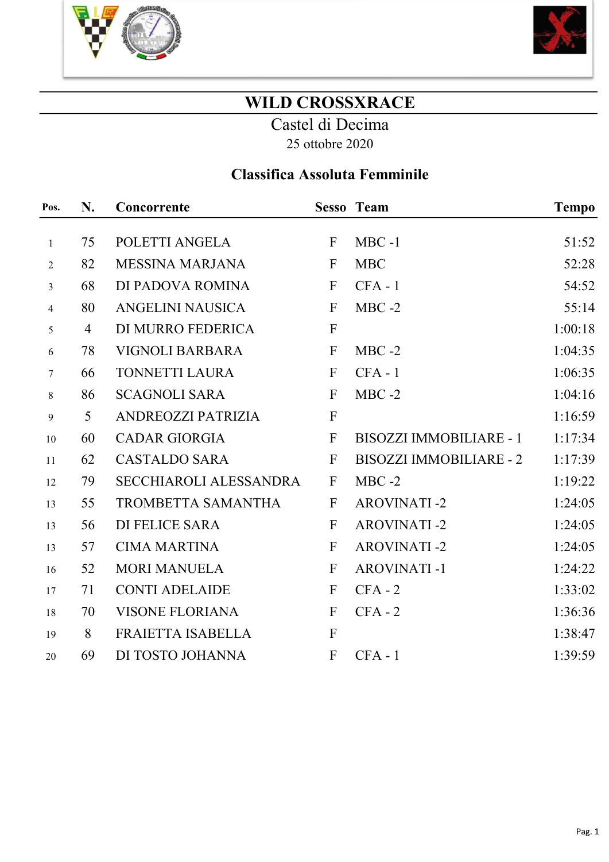



### WILD CROSSXRACE

Castel di Decima 25 ottobre 2020

### Classifica Assoluta Femminile

| Pos.             | N. | Concorrente                   |              | <b>Sesso Team</b>              | <b>Tempo</b> |
|------------------|----|-------------------------------|--------------|--------------------------------|--------------|
|                  |    |                               |              |                                |              |
| $\mathbf{1}$     | 75 | POLETTI ANGELA                | $\mathbf{F}$ | $MBC -1$                       | 51:52        |
| $\overline{2}$   | 82 | <b>MESSINA MARJANA</b>        | $\mathbf{F}$ | <b>MBC</b>                     | 52:28        |
| $\overline{3}$   | 68 | DI PADOVA ROMINA              | $\mathbf{F}$ | $CFA - 1$                      | 54:52        |
| $\overline{4}$   | 80 | <b>ANGELINI NAUSICA</b>       | $\mathbf{F}$ | $MBC -2$                       | 55:14        |
| 5                | 4  | DI MURRO FEDERICA             | $\mathbf F$  |                                | 1:00:18      |
| $\sqrt{6}$       | 78 | <b>VIGNOLI BARBARA</b>        | $\mathbf{F}$ | $MBC -2$                       | 1:04:35      |
| $\tau$           | 66 | TONNETTI LAURA                | $\mathbf{F}$ | $CFA - 1$                      | 1:06:35      |
| $8\,$            | 86 | <b>SCAGNOLI SARA</b>          | $\mathbf{F}$ | $MBC -2$                       | 1:04:16      |
| $\boldsymbol{9}$ | 5  | ANDREOZZI PATRIZIA            | $\mathbf{F}$ |                                | 1:16:59      |
| 10               | 60 | <b>CADAR GIORGIA</b>          | $\mathbf{F}$ | <b>BISOZZI IMMOBILIARE - 1</b> | 1:17:34      |
| 11               | 62 | <b>CASTALDO SARA</b>          | $\mathbf{F}$ | <b>BISOZZI IMMOBILIARE - 2</b> | 1:17:39      |
| 12               | 79 | <b>SECCHIAROLI ALESSANDRA</b> | $\mathbf{F}$ | $MBC -2$                       | 1:19:22      |
| 13               | 55 | <b>TROMBETTA SAMANTHA</b>     | $\mathbf{F}$ | <b>AROVINATI-2</b>             | 1:24:05      |
| 13               | 56 | <b>DI FELICE SARA</b>         | $\mathbf{F}$ | <b>AROVINATI-2</b>             | 1:24:05      |
| 13               | 57 | <b>CIMA MARTINA</b>           | ${\bf F}$    | <b>AROVINATI-2</b>             | 1:24:05      |
| 16               | 52 | <b>MORI MANUELA</b>           | $\mathbf{F}$ | <b>AROVINATI-1</b>             | 1:24:22      |
| 17               | 71 | <b>CONTI ADELAIDE</b>         | $\mathbf{F}$ | $CFA - 2$                      | 1:33:02      |
| 18               | 70 | <b>VISONE FLORIANA</b>        | $\mathbf{F}$ | $CFA - 2$                      | 1:36:36      |
| 19               | 8  | FRAIETTA ISABELLA             | $\mathbf{F}$ |                                | 1:38:47      |
| 20               | 69 | DI TOSTO JOHANNA              | F            | $CFA - 1$                      | 1:39:59      |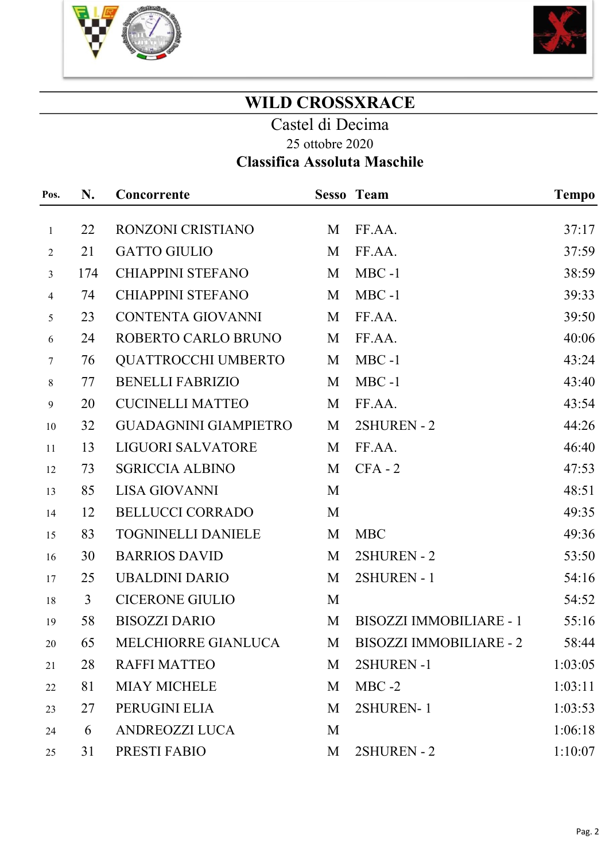



## WILD CROSSXRACE

Castel di Decima 25 ottobre 2020

# Classifica Assoluta Maschile

| Pos.             | N.  | Concorrente                  |   | <b>Sesso Team</b>              | <b>Tempo</b> |
|------------------|-----|------------------------------|---|--------------------------------|--------------|
| $\mathbf{1}$     | 22  | RONZONI CRISTIANO            | M | FF.AA.                         | 37:17        |
| $\overline{2}$   | 21  | <b>GATTO GIULIO</b>          | M | FF.AA.                         | 37:59        |
| $\mathfrak{Z}$   | 174 | <b>CHIAPPINI STEFANO</b>     | M | $MBC -1$                       | 38:59        |
| $\overline{4}$   | 74  | <b>CHIAPPINI STEFANO</b>     | M | $MBC -1$                       | 39:33        |
| 5                | 23  | <b>CONTENTA GIOVANNI</b>     | M | FF.AA.                         | 39:50        |
| 6                | 24  | ROBERTO CARLO BRUNO          | M | FF.AA.                         | 40:06        |
| $\tau$           | 76  | <b>QUATTROCCHI UMBERTO</b>   | M | $MBC -1$                       | 43:24        |
| $8\,$            | 77  | <b>BENELLI FABRIZIO</b>      | M | $MBC -1$                       | 43:40        |
| $\boldsymbol{9}$ | 20  | <b>CUCINELLI MATTEO</b>      | M | FF.AA.                         | 43:54        |
| 10               | 32  | <b>GUADAGNINI GIAMPIETRO</b> | M | 2SHUREN - 2                    | 44:26        |
| 11               | 13  | <b>LIGUORI SALVATORE</b>     | M | FF.AA.                         | 46:40        |
| 12               | 73  | <b>SGRICCIA ALBINO</b>       | M | $CFA - 2$                      | 47:53        |
| 13               | 85  | <b>LISA GIOVANNI</b>         | M |                                | 48:51        |
| 14               | 12  | <b>BELLUCCI CORRADO</b>      | M |                                | 49:35        |
| 15               | 83  | <b>TOGNINELLI DANIELE</b>    | M | <b>MBC</b>                     | 49:36        |
| 16               | 30  | <b>BARRIOS DAVID</b>         | M | 2SHUREN - 2                    | 53:50        |
| 17               | 25  | <b>UBALDINI DARIO</b>        | M | 2SHUREN - 1                    | 54:16        |
| 18               | 3   | <b>CICERONE GIULIO</b>       | M |                                | 54:52        |
| 19               | 58  | <b>BISOZZI DARIO</b>         | M | <b>BISOZZI IMMOBILIARE - 1</b> | 55:16        |
| 20               | 65  | MELCHIORRE GIANLUCA          | M | <b>BISOZZI IMMOBILIARE - 2</b> | 58:44        |
| 21               | 28  | <b>RAFFI MATTEO</b>          | M | 2SHUREN-1                      | 1:03:05      |
| 22               | 81  | <b>MIAY MICHELE</b>          | M | $MBC -2$                       | 1:03:11      |
| 23               | 27  | PERUGINI ELIA                | M | 2SHUREN-1                      | 1:03:53      |
| 24               | 6   | ANDREOZZI LUCA               | M |                                | 1:06:18      |
| 25               | 31  | PRESTI FABIO                 | M | 2SHUREN - 2                    | 1:10:07      |